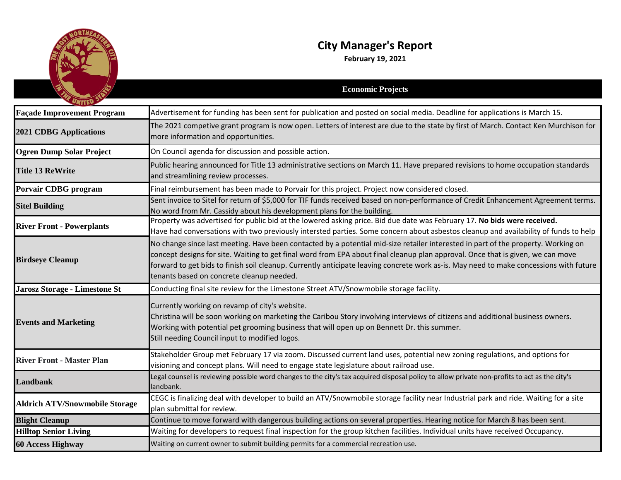

## **City Manager's Report**

**February 19, 2021**

|                                       | <b>Economic Projects</b>                                                                                                                                                                                                                                                                                                                                                                                                                                    |
|---------------------------------------|-------------------------------------------------------------------------------------------------------------------------------------------------------------------------------------------------------------------------------------------------------------------------------------------------------------------------------------------------------------------------------------------------------------------------------------------------------------|
| <b>Façade Improvement Program</b>     | Advertisement for funding has been sent for publication and posted on social media. Deadline for applications is March 15.                                                                                                                                                                                                                                                                                                                                  |
| <b>2021 CDBG Applications</b>         | The 2021 competive grant program is now open. Letters of interest are due to the state by first of March. Contact Ken Murchison for<br>more information and opportunities.                                                                                                                                                                                                                                                                                  |
| <b>Ogren Dump Solar Project</b>       | On Council agenda for discussion and possible action.                                                                                                                                                                                                                                                                                                                                                                                                       |
| <b>Title 13 ReWrite</b>               | Public hearing announced for Title 13 administrative sections on March 11. Have prepared revisions to home occupation standards<br>and streamlining review processes.                                                                                                                                                                                                                                                                                       |
| Porvair CDBG program                  | Final reimbursement has been made to Porvair for this project. Project now considered closed.                                                                                                                                                                                                                                                                                                                                                               |
| <b>Sitel Building</b>                 | Sent invoice to Sitel for return of \$5,000 for TIF funds received based on non-performance of Credit Enhancement Agreement terms.<br>No word from Mr. Cassidy about his development plans for the building.                                                                                                                                                                                                                                                |
| <b>River Front - Powerplants</b>      | Property was advertised for public bid at the lowered asking price. Bid due date was February 17. No bids were received.<br>Have had conversations with two previously intersted parties. Some concern about asbestos cleanup and availability of funds to help                                                                                                                                                                                             |
| <b>Birdseye Cleanup</b>               | No change since last meeting. Have been contacted by a potential mid-size retailer interested in part of the property. Working on<br>concept designs for site. Waiting to get final word from EPA about final cleanup plan approval. Once that is given, we can move<br>forward to get bids to finish soil cleanup. Currently anticipate leaving concrete work as-is. May need to make concessions with future<br>tenants based on concrete cleanup needed. |
| Jarosz Storage - Limestone St         | Conducting final site review for the Limestone Street ATV/Snowmobile storage facility.                                                                                                                                                                                                                                                                                                                                                                      |
| <b>Events and Marketing</b>           | Currently working on revamp of city's website.<br>Christina will be soon working on marketing the Caribou Story involving interviews of citizens and additional business owners.<br>Working with potential pet grooming business that will open up on Bennett Dr. this summer.<br>Still needing Council input to modified logos.                                                                                                                            |
| <b>River Front - Master Plan</b>      | Stakeholder Group met February 17 via zoom. Discussed current land uses, potential new zoning regulations, and options for<br>visioning and concept plans. Will need to engage state legislature about railroad use.                                                                                                                                                                                                                                        |
| <b>Landbank</b>                       | Legal counsel is reviewing possible word changes to the city's tax acquired disposal policy to allow private non-profits to act as the city's<br>landbank.                                                                                                                                                                                                                                                                                                  |
| <b>Aldrich ATV/Snowmobile Storage</b> | CEGC is finalizing deal with developer to build an ATV/Snowmobile storage facility near Industrial park and ride. Waiting for a site<br>plan submittal for review.                                                                                                                                                                                                                                                                                          |
| <b>Blight Cleanup</b>                 | Continue to move forward with dangerous building actions on several properties. Hearing notice for March 8 has been sent.                                                                                                                                                                                                                                                                                                                                   |
| <b>Hilltop Senior Living</b>          | Waiting for developers to request final inspection for the group kitchen facilities. Individual units have received Occupancy.                                                                                                                                                                                                                                                                                                                              |
| <b>60 Access Highway</b>              | Waiting on current owner to submit building permits for a commercial recreation use.                                                                                                                                                                                                                                                                                                                                                                        |